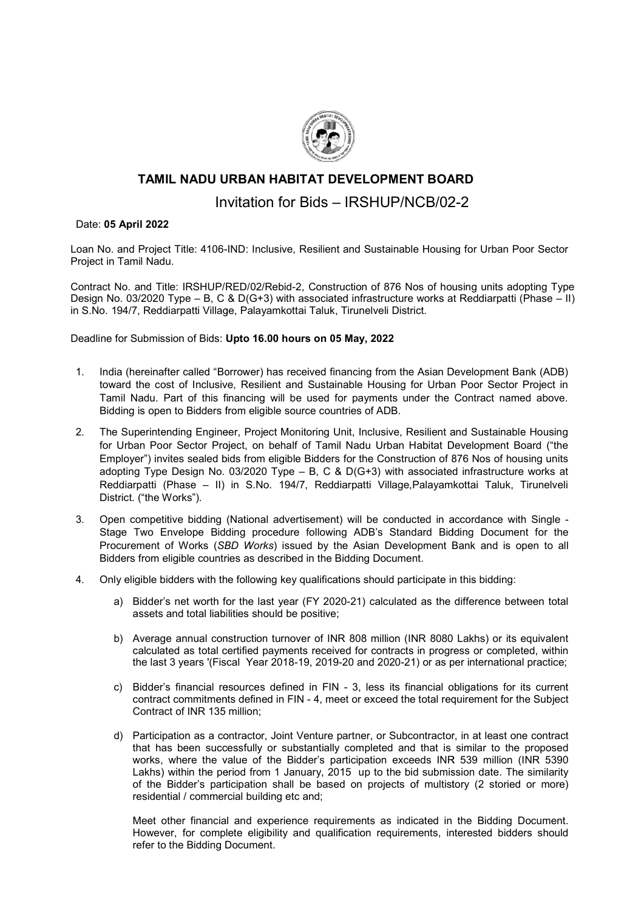

## TAMIL NADU URBAN HABITAT DEVELOPMENT BOARD

## Invitation for Bids – IRSHUP/NCB/02-2

## Date: 05 April 2022

Loan No. and Project Title: 4106-IND: Inclusive, Resilient and Sustainable Housing for Urban Poor Sector Project in Tamil Nadu.

Contract No. and Title: IRSHUP/RED/02/Rebid-2, Construction of 876 Nos of housing units adopting Type Design No. 03/2020 Type – B, C & D(G+3) with associated infrastructure works at Reddiarpatti (Phase – II)<br>in S.No. 194/7, Reddiarpatti Village, Palayamkottai Taluk, Tirunelveli District. in S.No. 194/7, Reddiarpatti Village, Palayamkottai Taluk, Tirunelveli District.

Deadline for Submission of Bids: Upto 1 16.00 hours on 05 May, 2022

- 1. India (hereinafter called "Borrower) has received financing from the Asian Development Bank (ADB) toward the cost of Inclusive, Resilient and Sustainable Housing for Urban Poor Sector Project in Tamil Nadu. Part of this financing will be used for payments under the Contract named above. Tamil Nadu. Part of this financing will be used for payments under the Contract named above. Tamil Nadu. Part of this financing will be used for payments under<br>Bidding is open to Bidders from eligible source countries of ADB.
- 2. The Superintending Engineer, Project Monitoring Unit, Inclusive, Resilient and Sustainable Housing for Urban Poor Sector Project, on behalf of Tamil Nadu Urban Habitat Development Board ("the Employer") invites sealed bids from eligible Bidders for the Construction of 876 Nos of housing units Construction of 876 Nos of housing units adopting Type Design No. 03/2020 Type – B, C & D(G+3) with associated infrastructure works at B, C & D(G+3) with associated infrastructure works at Reddiarpatti (Phase – II) in S.No. 194/7, Reddiarpatti Village,Palayamkottai Taluk, Tirunelveli District. ("the Works"). **indicated URBAN HABITAT DEVELOPMENT BOARD<br>
Invitation for Bids – IRSHUP/NCB/02-2<br>
active distinguishes and the Development and sustainable Housing for Urban Poor Sector<br>
active distinguishes and the DEVELOPMENT BOARD<br>
The**
- 3. Open competitive bidding (National advertisement) will be conducted in accordance with Single Open competitive bidding (National advertisement) will be conducted in accordance with Single -<br>Stage Two Envelope Bidding procedure following ADB's Standard Bidding Document for the Stage Two Envelope Bidding procedure following ADB's Standard Bidding Document for the<br>Procurement of Works (*SBD Works*) issued by the Asian Development Bank and is open to all Bidders from eligible countries as described in the Bidding Document.
- 4. Only eligible bidders with the following key qualifications should participate in this bidding: Only eligible bidders with the following key qualifications should participate in this bidding:
	- ly eligible bidders with the following key qualifications should participate in this bidding:<br>a) Bidder's net worth for the last year (FY 2020-21) calculated as the difference between total assets and total liabilities should be positive;
	- b) Average annual construction turnover of INR 808 million (INR 8080 Lakhs) or its equivalent calculated as total certified payments received for contracts in progress or completed, within calculated as total certified payments received for contracts in progress or completed, within calculated as total certified payments received for contracts in progress or completed, within<br>the last 3 years '(Fiscal Year 2018-19, 2019-20 and 2020-21) or as per international practice;
	- c) Bidder's financial resources defined in FIN 3, less its financial obligations for its current contract commitments defined in FIN - 4, meet or exceed the total requirement for the Subject Contract of INR 135 million;
	- d) Participation as a contractor, Joint Venture partner, or Subcontractor, in at least one contract Participation as a contractor, Joint Venture partner, or Subcontractor, in at least one contract that has been successfully or substantially completed and that is similar to the proposed works, where the value of the Bidder's participation exceeds INR 539 million (INR 5390 Lakhs) within the period from 1 January, 2015 up to the bid submission date. The similarity of the Bidder's participation shall be based on projects of multistory (2 storied or more) residential / commercial building etc and; int Venture partner, or Subcontractor, in at least one contract<br>substantially completed and that is similar to the proposed<br>Bidder's participation exceeds INR 539 million (INR 5390 that has been successfully or substantially completed and that is similar to the proposed

Meet other financial and experience requirements as indicated in the Bidding Document. Meet other financial and experience requirements as indicated in the Bidding Document. However, for complete eligibility and qualification requirements, interested bidders should However, for complete eligibility and qualification requirements, interested bidders should refer to the Bidding Document.